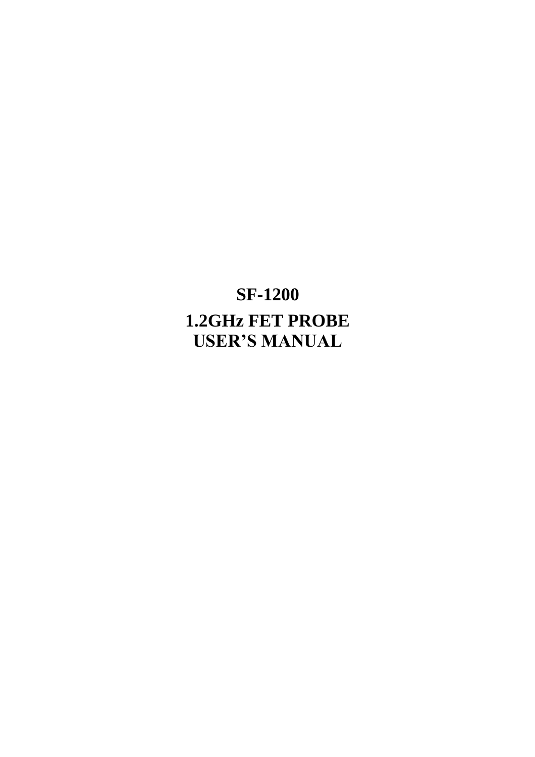# **SF-1200 1.2GHz FET PROBE USER'S MANUAL**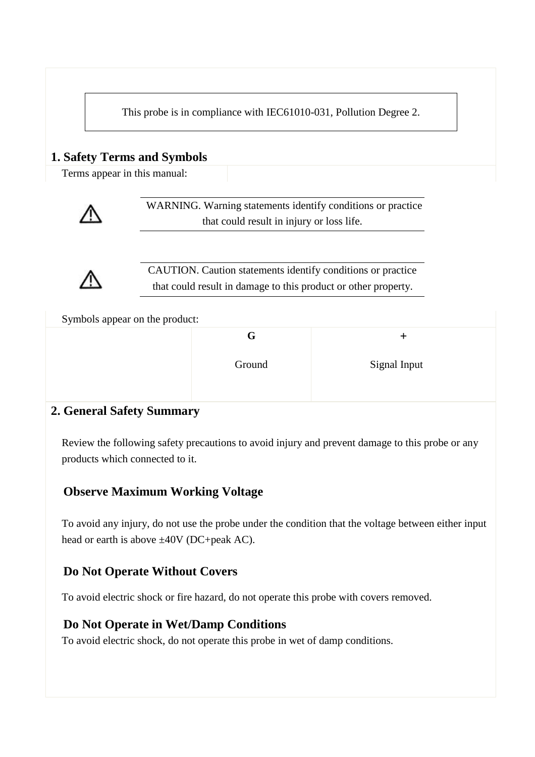This probe is in compliance with IEC61010-031, Pollution Degree 2.

### **1. Safety Terms and Symbols**

Terms appear in this manual:



WARNING. Warning statements identify conditions or practice that could result in injury or loss life.



CAUTION. Caution statements identify conditions or practice that could result in damage to this product or other property.

Symbols appear on the product:

| G      |              |
|--------|--------------|
| Ground | Signal Input |
|        |              |

#### **2. General Safety Summary**

Review the following safety precautions to avoid injury and prevent damage to this probe or any products which connected to it.

#### **Observe Maximum Working Voltage**

To avoid any injury, do not use the probe under the condition that the voltage between either input head or earth is above  $\pm 40V$  (DC+peak AC).

#### **Do Not Operate Without Covers**

To avoid electric shock or fire hazard, do not operate this probe with covers removed.

#### **Do Not Operate in Wet/Damp Conditions**

To avoid electric shock, do not operate this probe in wet of damp conditions.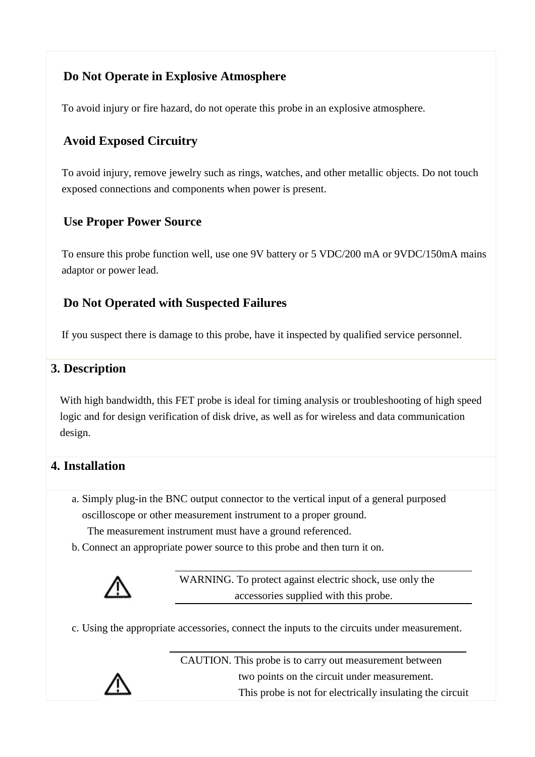# **Do Not Operate in Explosive Atmosphere**

To avoid injury or fire hazard, do not operate this probe in an explosive atmosphere.

# **Avoid Exposed Circuitry**

To avoid injury, remove jewelry such as rings, watches, and other metallic objects. Do not touch exposed connections and components when power is present.

#### **Use Proper Power Source**

To ensure this probe function well, use one 9V battery or 5 VDC/200 mA or 9VDC/150mA mains adaptor or power lead.

# **Do Not Operated with Suspected Failures**

If you suspect there is damage to this probe, have it inspected by qualified service personnel.

#### **3. Description**

With high bandwidth, this FET probe is ideal for timing analysis or troubleshooting of high speed logic and for design verification of disk drive, as well as for wireless and data communication design.

#### **4. Installation**

a. Simply plug-in the BNC output connector to the vertical input of a general purposed oscilloscope or other measurement instrument to a proper ground.

The measurement instrument must have a ground referenced.

b. Connect an appropriate power source to this probe and then turn it on.



WARNING. To protect against electric shock, use only the accessories supplied with this probe.

c. Using the appropriate accessories, connect the inputs to the circuits under measurement.

CAUTION. This probe is to carry out measurement between two points on the circuit under measurement. This probe is not for electrically insulating the circuit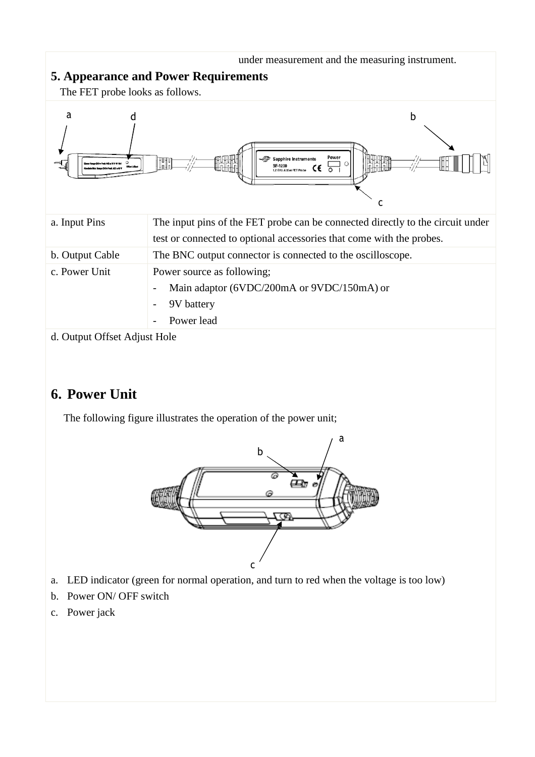

d. Output Offset Adjust Hole

# **6. Power Unit**

The following figure illustrates the operation of the power unit;



- a. LED indicator (green for normal operation, and turn to red when the voltage is too low)
- b. Power ON/ OFF switch
- c. Power jack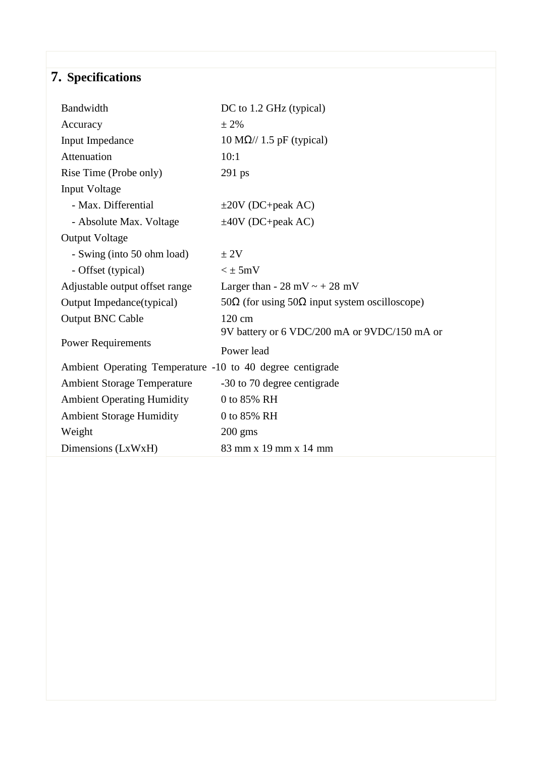# **7. Specifications**

| Bandwidth                                                 | DC to 1.2 GHz (typical)                                       |  |  |
|-----------------------------------------------------------|---------------------------------------------------------------|--|--|
| Accuracy                                                  | $± 2\%$                                                       |  |  |
| Input Impedance                                           | $10 M\Omega$ // 1.5 pF (typical)                              |  |  |
| Attenuation                                               | 10:1                                                          |  |  |
| Rise Time (Probe only)                                    | 291 ps                                                        |  |  |
| Input Voltage                                             |                                                               |  |  |
| - Max. Differential                                       | $\pm 20V$ (DC+peak AC)                                        |  |  |
| - Absolute Max. Voltage                                   | $\pm 40V$ (DC+peak AC)                                        |  |  |
| <b>Output Voltage</b>                                     |                                                               |  |  |
| - Swing (into 50 ohm load)                                | ± 2V                                                          |  |  |
| - Offset (typical)                                        | $\leq \pm 5$ mV                                               |  |  |
| Adjustable output offset range                            | Larger than - 28 mV $\sim$ + 28 mV                            |  |  |
| Output Impedance(typical)                                 | 50 $\Omega$ (for using 50 $\Omega$ input system oscilloscope) |  |  |
| <b>Output BNC Cable</b>                                   | 120 cm                                                        |  |  |
|                                                           | 9V battery or 6 VDC/200 mA or 9VDC/150 mA or                  |  |  |
| <b>Power Requirements</b>                                 | Power lead                                                    |  |  |
| Ambient Operating Temperature -10 to 40 degree centigrade |                                                               |  |  |
| <b>Ambient Storage Temperature</b>                        | -30 to 70 degree centigrade                                   |  |  |
| <b>Ambient Operating Humidity</b>                         | 0 to 85% RH                                                   |  |  |
| <b>Ambient Storage Humidity</b>                           | 0 to 85% RH                                                   |  |  |
| Weight                                                    | $200 \text{ gms}$                                             |  |  |
| Dimensions (LxWxH)                                        | 83 mm x 19 mm x 14 mm                                         |  |  |